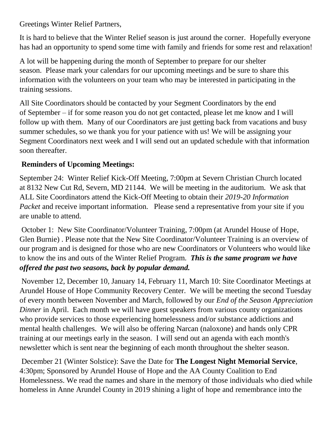Greetings Winter Relief Partners,

It is hard to believe that the Winter Relief season is just around the corner. Hopefully everyone has had an opportunity to spend some time with family and friends for some rest and relaxation!

A lot will be happening during the month of September to prepare for our shelter season. Please mark your calendars for our upcoming meetings and be sure to share this information with the volunteers on your team who may be interested in participating in the training sessions.

All Site Coordinators should be contacted by your Segment Coordinators by the end of September – if for some reason you do not get contacted, please let me know and I will follow up with them. Many of our Coordinators are just getting back from vacations and busy summer schedules, so we thank you for your patience with us! We will be assigning your Segment Coordinators next week and I will send out an updated schedule with that information soon thereafter.

## **Reminders of Upcoming Meetings:**

September 24: Winter Relief Kick-Off Meeting, 7:00pm at Severn Christian Church located at 8132 New Cut Rd, Severn, MD 21144. We will be meeting in the auditorium. We ask that ALL Site Coordinators attend the Kick-Off Meeting to obtain their *2019-20 Information Packet* and receive important information. Please send a representative from your site if you are unable to attend.

October 1: New Site Coordinator/Volunteer Training, 7:00pm (at Arundel House of Hope, Glen Burnie) . Please note that the New Site Coordinator/Volunteer Training is an overview of our program and is designed for those who are new Coordinators or Volunteers who would like to know the ins and outs of the Winter Relief Program. *This is the same program we have offered the past two seasons, back by popular demand.* 

November 12, December 10, January 14, February 11, March 10: Site Coordinator Meetings at Arundel House of Hope Community Recovery Center. We will be meeting the second Tuesday of every month between November and March, followed by our *End of the Season Appreciation Dinner* in April. Each month we will have guest speakers from various county organizations who provide services to those experiencing homelessness and/or substance addictions and mental health challenges. We will also be offering Narcan (naloxone) and hands only CPR training at our meetings early in the season. I will send out an agenda with each month's newsletter which is sent near the beginning of each month throughout the shelter season.

December 21 (Winter Solstice): Save the Date for **The Longest Night Memorial Service**, 4:30pm; Sponsored by Arundel House of Hope and the AA County Coalition to End Homelessness. We read the names and share in the memory of those individuals who died while homeless in Anne Arundel County in 2019 shining a light of hope and remembrance into the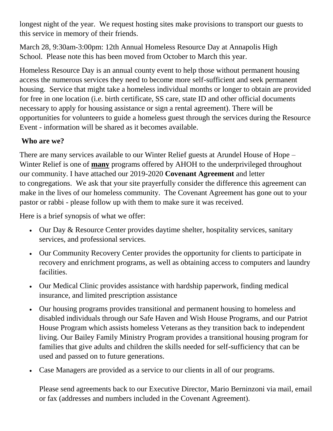longest night of the year. We request hosting sites make provisions to transport our guests to this service in memory of their friends.

March 28, 9:30am-3:00pm: 12th Annual Homeless Resource Day at Annapolis High School. Please note this has been moved from October to March this year.

Homeless Resource Day is an annual county event to help those without permanent housing access the numerous services they need to become more self-sufficient and seek permanent housing. Service that might take a homeless individual months or longer to obtain are provided for free in one location (i.e. birth certificate, SS care, state ID and other official documents necessary to apply for housing assistance or sign a rental agreement). There will be opportunities for volunteers to guide a homeless guest through the services during the Resource Event - information will be shared as it becomes available.

## **Who are we?**

There are many services available to our Winter Relief guests at Arundel House of Hope – Winter Relief is one of **many** programs offered by AHOH to the underprivileged throughout our community. I have attached our 2019-2020 **Covenant Agreement** and letter to congregations. We ask that your site prayerfully consider the difference this agreement can make in the lives of our homeless community. The Covenant Agreement has gone out to your pastor or rabbi - please follow up with them to make sure it was received.

Here is a brief synopsis of what we offer:

- Our Day & Resource Center provides daytime shelter, hospitality services, sanitary services, and professional services.
- Our Community Recovery Center provides the opportunity for clients to participate in recovery and enrichment programs, as well as obtaining access to computers and laundry facilities.
- Our Medical Clinic provides assistance with hardship paperwork, finding medical insurance, and limited prescription assistance
- Our housing programs provides transitional and permanent housing to homeless and disabled individuals through our Safe Haven and Wish House Programs, and our Patriot House Program which assists homeless Veterans as they transition back to independent living. Our Bailey Family Ministry Program provides a transitional housing program for families that give adults and children the skills needed for self-sufficiency that can be used and passed on to future generations.
- Case Managers are provided as a service to our clients in all of our programs.

Please send agreements back to our Executive Director, Mario Berninzoni via mail, email or fax (addresses and numbers included in the Covenant Agreement).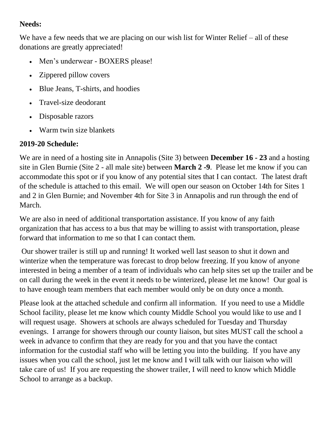## **Needs:**

We have a few needs that we are placing on our wish list for Winter Relief – all of these donations are greatly appreciated!

- Men's underwear BOXERS please!
- Zippered pillow covers
- Blue Jeans, T-shirts, and hoodies
- Travel-size deodorant
- Disposable razors
- Warm twin size blankets

## **2019-20 Schedule:**

We are in need of a hosting site in Annapolis (Site 3) between **December 16 - 23** and a hosting site in Glen Burnie (Site 2 - all male site) between **March 2 -9**. Please let me know if you can accommodate this spot or if you know of any potential sites that I can contact. The latest draft of the schedule is attached to this email. We will open our season on October 14th for Sites 1 and 2 in Glen Burnie; and November 4th for Site 3 in Annapolis and run through the end of March.

We are also in need of additional transportation assistance. If you know of any faith organization that has access to a bus that may be willing to assist with transportation, please forward that information to me so that I can contact them.

Our shower trailer is still up and running! It worked well last season to shut it down and winterize when the temperature was forecast to drop below freezing. If you know of anyone interested in being a member of a team of individuals who can help sites set up the trailer and be on call during the week in the event it needs to be winterized, please let me know! Our goal is to have enough team members that each member would only be on duty once a month.

Please look at the attached schedule and confirm all information. If you need to use a Middle School facility, please let me know which county Middle School you would like to use and I will request usage. Showers at schools are always scheduled for Tuesday and Thursday evenings. I arrange for showers through our county liaison, but sites MUST call the school a week in advance to confirm that they are ready for you and that you have the contact information for the custodial staff who will be letting you into the building. If you have any issues when you call the school, just let me know and I will talk with our liaison who will take care of us! If you are requesting the shower trailer, I will need to know which Middle School to arrange as a backup.